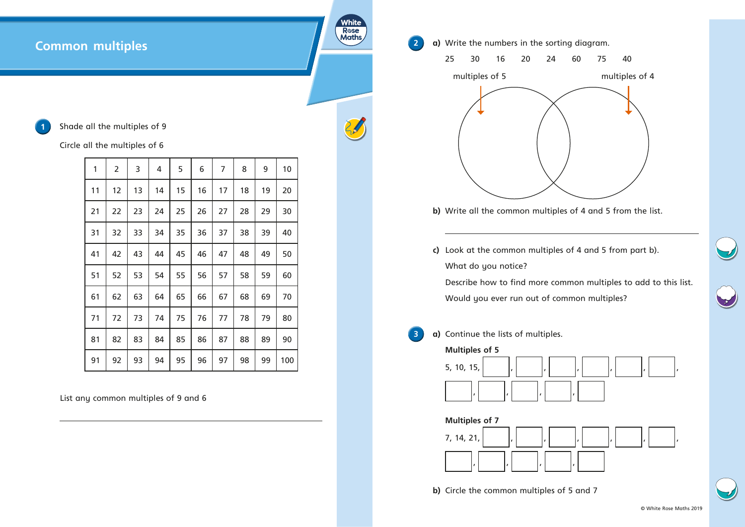## **Common multiples**

**Shade all the multiples of 9** 

Circle all the multiples of 6

| 1  | $\overline{2}$ | 3  | 4  | 5  | 6  | 7  | 8  | 9  | 10  |
|----|----------------|----|----|----|----|----|----|----|-----|
| 11 | 12             | 13 | 14 | 15 | 16 | 17 | 18 | 19 | 20  |
| 21 | 22             | 23 | 24 | 25 | 26 | 27 | 28 | 29 | 30  |
| 31 | 32             | 33 | 34 | 35 | 36 | 37 | 38 | 39 | 40  |
| 41 | 42             | 43 | 44 | 45 | 46 | 47 | 48 | 49 | 50  |
| 51 | 52             | 53 | 54 | 55 | 56 | 57 | 58 | 59 | 60  |
| 61 | 62             | 63 | 64 | 65 | 66 | 67 | 68 | 69 | 70  |
| 71 | 72             | 73 | 74 | 75 | 76 | 77 | 78 | 79 | 80  |
| 81 | 82             | 83 | 84 | 85 | 86 | 87 | 88 | 89 | 90  |
| 91 | 92             | 93 | 94 | 95 | 96 | 97 | 98 | 99 | 100 |

White Rose<br>Maths

List any common multiples of 9 and 6



**b)** Circle the common multiples of 5 and 7